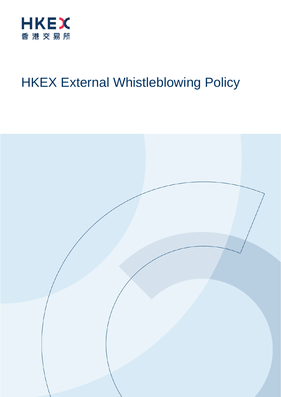

# HKEX External Whistleblowing Policy

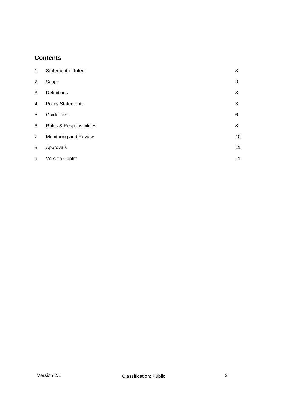## **Contents**

| 1              | Statement of Intent      | 3  |
|----------------|--------------------------|----|
| 2              | Scope                    | 3  |
| 3              | <b>Definitions</b>       | 3  |
| 4              | <b>Policy Statements</b> | 3  |
| 5              | Guidelines               | 6  |
| 6              | Roles & Responsibilities | 8  |
| $\overline{7}$ | Monitoring and Review    | 10 |
| 8              | Approvals                | 11 |
| 9              | <b>Version Control</b>   | 11 |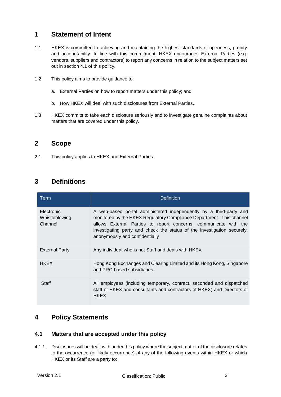# <span id="page-2-0"></span>**1 Statement of Intent**

- 1.1 HKEX is committed to achieving and maintaining the highest standards of openness, probity and accountability. In line with this commitment, HKEX encourages External Parties (e.g. vendors, suppliers and contractors) to report any concerns in relation to the subject matters set out in section 4.1 of this policy.
- 1.2 This policy aims to provide guidance to:
	- a. External Parties on how to report matters under this policy; and
	- b. How HKEX will deal with such disclosures from External Parties.
- 1.3 HKEX commits to take each disclosure seriously and to investigate genuine complaints about matters that are covered under this policy.

## <span id="page-2-1"></span>**2 Scope**

2.1 This policy applies to HKEX and External Parties.

# <span id="page-2-2"></span>**3 Definitions**

| Term                                    | <b>Definition</b>                                                                                                                                                                                                                                                                                                           |
|-----------------------------------------|-----------------------------------------------------------------------------------------------------------------------------------------------------------------------------------------------------------------------------------------------------------------------------------------------------------------------------|
| Electronic<br>Whistleblowing<br>Channel | A web-based portal administered independently by a third-party and<br>monitored by the HKEX Regulatory Compliance Department. This channel<br>allows External Parties to report concerns, communicate with the<br>investigating party and check the status of the investigation securely,<br>anonymously and confidentially |
| <b>External Party</b>                   | Any individual who is not Staff and deals with HKEX                                                                                                                                                                                                                                                                         |
| <b>HKEX</b>                             | Hong Kong Exchanges and Clearing Limited and its Hong Kong, Singapore<br>and PRC-based subsidiaries                                                                                                                                                                                                                         |
| Staff                                   | All employees (including temporary, contract, seconded and dispatched<br>staff of HKEX and consultants and contractors of HKEX) and Directors of<br><b>HKEX</b>                                                                                                                                                             |

## <span id="page-2-3"></span>**4 Policy Statements**

#### **4.1 Matters that are accepted under this policy**

4.1.1 Disclosures will be dealt with under this policy where the subject matter of the disclosure relates to the occurrence (or likely occurrence) of any of the following events within HKEX or which HKEX or its Staff are a party to: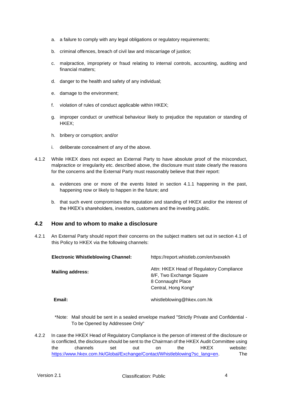- a. a failure to comply with any legal obligations or regulatory requirements;
- b. criminal offences, breach of civil law and miscarriage of justice;
- c. malpractice, impropriety or fraud relating to internal controls, accounting, auditing and financial matters;
- d. danger to the health and safety of any individual;
- e. damage to the environment;
- f. violation of rules of conduct applicable within HKEX;
- g. improper conduct or unethical behaviour likely to prejudice the reputation or standing of HKEX;
- h. bribery or corruption; and/or
- i. deliberate concealment of any of the above.
- 4.1.2 While HKEX does not expect an External Party to have absolute proof of the misconduct, malpractice or irregularity etc. described above, the disclosure must state clearly the reasons for the concerns and the External Party must reasonably believe that their report:
	- a. evidences one or more of the events listed in section 4.1.1 happening in the past, happening now or likely to happen in the future; and
	- b. that such event compromises the reputation and standing of HKEX and/or the interest of the HKEX's shareholders, investors, customers and the investing public.

#### **4.2 How and to whom to make a disclosure**

4.2.1 An External Party should report their concerns on the subject matters set out in section 4.1 of this Policy to HKEX via the following channels:

| <b>Electronic Whistleblowing Channel:</b> | https://report.whistleb.com/en/txexekh                                                                           |
|-------------------------------------------|------------------------------------------------------------------------------------------------------------------|
| <b>Mailing address:</b>                   | Attn: HKEX Head of Regulatory Compliance<br>8/F, Two Exchange Square<br>8 Connaught Place<br>Central, Hong Kong* |
| Email:                                    | whistleblowing@hkex.com.hk                                                                                       |

- \*Note: Mail should be sent in a sealed envelope marked "Strictly Private and Confidential To be Opened by Addressee Only"
- 4.2.2 In case the HKEX Head of Regulatory Compliance is the person of interest of the disclosure or is conflicted, the disclosure should be sent to the Chairman of the HKEX Audit Committee using the channels set out on the HKEX website: [https://www.hkex.com.hk/Global/Exchange/Contact/Whistleblowing?sc\\_lang=en.](https://www.hkex.com.hk/Global/Exchange/Contact/Whistleblowing?sc_lang=en) The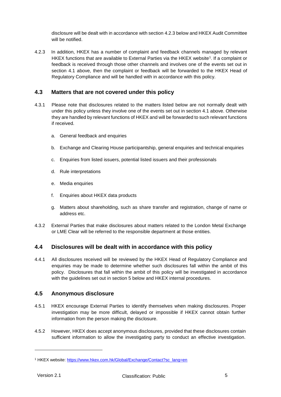disclosure will be dealt with in accordance with section [4.2.3](#page-4-0) below and HKEX Audit Committee will be notified.

<span id="page-4-0"></span>4.2.3 In addition, HKEX has a number of complaint and feedback channels managed by relevant HKEX functions that are available to External Parties via the HKEX website<sup>1</sup>. If a complaint or feedback is received through those other channels and involves one of the events set out in section 4.1 above, then the complaint or feedback will be forwarded to the HKEX Head of Regulatory Compliance and will be handled with in accordance with this policy.

#### **4.3 Matters that are not covered under this policy**

- 4.3.1 Please note that disclosures related to the matters listed below are not normally dealt with under this policy unless they involve one of the events set out in section 4.1 above. Otherwise they are handled by relevant functions of HKEX and will be forwarded to such relevant functions if received.
	- a. General feedback and enquiries
	- b. Exchange and Clearing House participantship, general enquiries and technical enquiries
	- c. Enquiries from listed issuers, potential listed issuers and their professionals
	- d. Rule interpretations
	- e. Media enquiries
	- f. Enquiries about HKEX data products
	- g. Matters about shareholding, such as share transfer and registration, change of name or address etc.
- 4.3.2 External Parties that make disclosures about matters related to the London Metal Exchange or LME Clear will be referred to the responsible department at those entities.

#### **4.4 Disclosures will be dealt with in accordance with this policy**

4.4.1 All disclosures received will be reviewed by the HKEX Head of Regulatory Compliance and enquiries may be made to determine whether such disclosures fall within the ambit of this policy. Disclosures that fall within the ambit of this policy will be investigated in accordance with the guidelines set out in section 5 below and HKEX internal procedures.

#### **4.5 Anonymous disclosure**

- 4.5.1 HKEX encourage External Parties to identify themselves when making disclosures. Proper investigation may be more difficult, delayed or impossible if HKEX cannot obtain further information from the person making the disclosure.
- 4.5.2 However, HKEX does accept anonymous disclosures, provided that these disclosures contain sufficient information to allow the investigating party to conduct an effective investigation.

<sup>&</sup>lt;sup>1</sup> HKEX website: https://www.hkex.com.hk/Global/Exchange/Contact?sc\_lang=en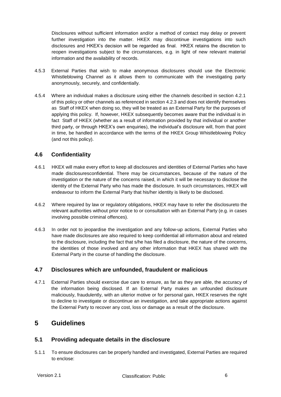Disclosures without sufficient information and/or a method of contact may delay or prevent further investigation into the matter. HKEX may discontinue investigations into such disclosures and HKEX's decision will be regarded as final. HKEX retains the discretion to reopen investigations subject to the circumstances, e.g. in light of new relevant material information and the availability of records.

- 4.5.3 External Parties that wish to make anonymous disclosures should use the Electronic Whistleblowing Channel as it allows them to communicate with the investigating party anonymously, securely, and confidentially.
- 4.5.4 Where an individual makes a disclosure using either the channels described in section 4.2.1 of this policy or other channels as referenced in section [4.2.3](#page-4-0) and does not identify themselves as Staff of HKEX when doing so, they will be treated as an External Party for the purposes of applying this policy. If, however, HKEX subsequently becomes aware that the individual is in fact Staff of HKEX (whether as a result of information provided by that individual or another third party, or through HKEX's own enquiries), the individual's disclosure will, from that point in time, be handled in accordance with the terms of the HKEX Group Whistleblowing Policy (and not this policy).

#### **4.6 Confidentiality**

- 4.6.1 HKEX will make every effort to keep all disclosures and identities of External Parties who have made disclosuresconfidential. There may be circumstances, because of the nature of the investigation or the nature of the concerns raised, in which it will be necessary to disclose the identity of the External Party who has made the disclosure. In such circumstances, HKEX will endeavour to inform the External Party that his/her identity is likely to be disclosed.
- 4.6.2 Where required by law or regulatory obligations, HKEX may have to refer the disclosureto the relevant authorities without prior notice to or consultation with an External Party (e.g. in cases involving possible criminal offences).
- 4.6.3 In order not to jeopardise the investigation and any follow-up actions, External Parties who have made disclosures are also required to keep confidential all information about and related to the disclosure, including the fact that s/he has filed a disclosure, the nature of the concerns, the identities of those involved and any other information that HKEX has shared with the External Party in the course of handling the disclosure.

#### **4.7 Disclosures which are unfounded, fraudulent or malicious**

4.7.1 External Parties should exercise due care to ensure, as far as they are able, the accuracy of the information being disclosed. If an External Party makes an unfounded disclosure maliciously, fraudulently, with an ulterior motive or for personal gain, HKEX reserves the right to decline to investigate or discontinue an investigation, and take appropriate actions against the External Party to recover any cost, loss or damage as a result of the disclosure.

## <span id="page-5-0"></span>**5 Guidelines**

#### **5.1 Providing adequate details in the disclosure**

5.1.1 To ensure disclosures can be properly handled and investigated, External Parties are required to enclose: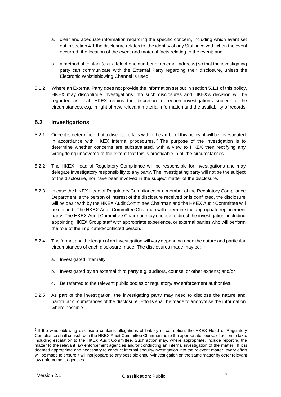- a. clear and adequate information regarding the specific concern, including which event set out in section 4.1 the disclosure relates to, the identity of any Staff involved, when the event occurred, the location of the event and material facts relating to the event; and
- b. a method of contact (e.g. a telephone number or an email address) so that the investigating party can communicate with the External Party regarding their disclosure, unless the Electronic Whistleblowing Channel is used.
- 5.1.2 Where an External Party does not provide the information set out in section 5.1.1 of this policy, HKEX may discontinue investigations into such disclosures and HKEX's decision will be regarded as final. HKEX retains the discretion to reopen investigations subject to the circumstances, e.g. in light of new relevant material information and the availability of records.

#### **5.2 Investigations**

- 5.2.1 Once it is determined that a disclosure falls within the ambit of this policy, it will be investigated in accordance with HKEX internal procedures. <sup>2</sup> The purpose of the investigation is to determine whether concerns are substantiated, with a view to HKEX then rectifying any wrongdoing uncovered to the extent that this is practicable in all the circumstances.
- 5.2.2 The HKEX Head of Regulatory Compliance will be responsible for investigations and may delegate investigatory responsibility to any party. The investigating party will not be the subject of the disclosure, nor have been involved in the subject matter of the disclosure.
- 5.2.3 In case the HKEX Head of Regulatory Compliance or a member of the Regulatory Compliance Department is the person of interest of the disclosure received or is conflicted, the disclosure will be dealt with by the HKEX Audit Committee Chairman and the HKEX Audit Committee will be notified. The HKEX Audit Committee Chairman will determine the appropriate replacement party. The HKEX Audit Committee Chairman may choose to direct the investigation, including appointing HKEX Group staff with appropriate experience, or external parties who will perform the role of the implicated/conflicted person.
- 5.2.4 The format and the length of an investigation will vary depending upon the nature and particular circumstances of each disclosure made. The disclosures made may be:
	- a. Investigated internally;
	- b. Investigated by an external third party e.g. auditors, counsel or other experts; and/or
	- c. Be referred to the relevant public bodies or regulatory/law enforcement authorities.
- 5.2.5 As part of the investigation, the investigating party may need to disclose the nature and particular circumstances of the disclosure. Efforts shall be made to anonymise the information where possible.

<sup>&</sup>lt;sup>2</sup> If the whistleblowing disclosure contains allegations of bribery or corruption, the HKEX Head of Regulatory Compliance shall consult with the HKEX Audit Committee Chairman as to the appropriate course of action to take, including escalation to the HKEX Audit Committee. Such action may, where appropriate, include reporting the matter to the relevant law enforcement agencies and/or conducting an internal investigation of the matter. If it is deemed appropriate and necessary to conduct internal enquiry/investigation into the relevant matter, every effort will be made to ensure it will not jeopardise any possible enquiry/investigation on the same matter by other relevant law enforcement agencies.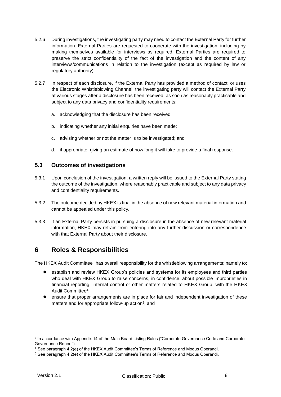- 5.2.6 During investigations, the investigating party may need to contact the External Party for further information. External Parties are requested to cooperate with the investigation, including by making themselves available for interviews as required. External Parties are required to preserve the strict confidentiality of the fact of the investigation and the content of any interviews/communications in relation to the investigation (except as required by law or regulatory authority).
- 5.2.7 In respect of each disclosure, if the External Party has provided a method of contact, or uses the Electronic Whistleblowing Channel, the investigating party will contact the External Party at various stages after a disclosure has been received, as soon as reasonably practicable and subject to any data privacy and confidentiality requirements:
	- a. acknowledging that the disclosure has been received;
	- b. indicating whether any initial enquiries have been made;
	- c. advising whether or not the matter is to be investigated; and
	- d. if appropriate, giving an estimate of how long it will take to provide a final response.

#### **5.3 Outcomes of investigations**

- 5.3.1 Upon conclusion of the investigation, a written reply will be issued to the External Party stating the outcome of the investigation, where reasonably practicable and subject to any data privacy and confidentiality requirements.
- 5.3.2 The outcome decided by HKEX is final in the absence of new relevant material information and cannot be appealed under this policy.
- 5.3.3 If an External Party persists in pursuing a disclosure in the absence of new relevant material information, HKEX may refrain from entering into any further discussion or correspondence with that External Party about their disclosure.

## <span id="page-7-0"></span>**6 Roles & Responsibilities**

The HKEX Audit Committee<sup>3</sup> has overall responsibility for the whistleblowing arrangements; namely to:

- establish and review HKEX Group's policies and systems for its employees and third parties who deal with HKEX Group to raise concerns, in confidence, about possible improprieties in financial reporting, internal control or other matters related to HKEX Group, with the HKEX Audit Committee<sup>4</sup> ;
- ensure that proper arrangements are in place for fair and independent investigation of these matters and for appropriate follow-up action<sup>5</sup>; and

<sup>&</sup>lt;sup>3</sup> In accordance with Appendix 14 of the Main Board Listing Rules ("Corporate Governance Code and Corporate Governance Report").

<sup>4</sup> See paragraph 4.2(e) of the HKEX Audit Committee's Terms of Reference and Modus Operandi.

<sup>5</sup> See paragraph 4.2(e) of the HKEX Audit Committee's Terms of Reference and Modus Operandi.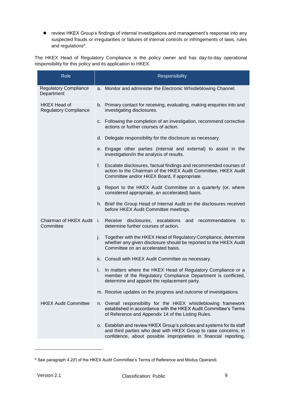review HKEX Group's findings of internal investigations and management's response into any suspected frauds or irregularities or failures of internal controls or infringements of laws, rules and regulations<sup>6</sup>.

The HKEX Head of Regulatory Compliance is the policy owner and has day-to-day operational responsibility for this policy and its application to HKEX.

| Role                                                | Responsibility                                                                                                                                                                                                  |  |  |  |  |  |
|-----------------------------------------------------|-----------------------------------------------------------------------------------------------------------------------------------------------------------------------------------------------------------------|--|--|--|--|--|
| <b>Regulatory Compliance</b><br>Department          | a. Monitor and administer the Electronic Whistleblowing Channel.                                                                                                                                                |  |  |  |  |  |
| <b>HKEX Head of</b><br><b>Regulatory Compliance</b> | b. Primary contact for receiving, evaluating, making enquiries into and<br>investigating disclosures.                                                                                                           |  |  |  |  |  |
|                                                     | c. Following the completion of an investigation, recommend corrective<br>actions or further courses of action.                                                                                                  |  |  |  |  |  |
|                                                     | d. Delegate responsibility for the disclosure as necessary.                                                                                                                                                     |  |  |  |  |  |
|                                                     | e. Engage other parties (internal and external) to assist in the<br>investigation/in the analysis of results.                                                                                                   |  |  |  |  |  |
|                                                     | Escalate disclosures, factual findings and recommended courses of<br>f.<br>action to the Chairman of the HKEX Audit Committee, HKEX Audit<br>Committee and/or HKEX Board, if appropriate.                       |  |  |  |  |  |
|                                                     | g. Report to the HKEX Audit Committee on a quarterly (or, where<br>considered appropriate, an accelerated) basis.                                                                                               |  |  |  |  |  |
|                                                     | h. Brief the Group Head of Internal Audit on the disclosures received<br>before HKEX Audit Committee meetings.                                                                                                  |  |  |  |  |  |
| Chairman of HKEX Audit<br>Committee                 | Receive<br>i.<br>disclosures,<br>escalations<br>recommendations<br>and<br>to<br>determine further courses of action.                                                                                            |  |  |  |  |  |
|                                                     | Together with the HKEX Head of Regulatory Compliance, determine<br>j.<br>whether any given disclosure should be reported to the HKEX Audit<br>Committee on an accelerated basis.                                |  |  |  |  |  |
|                                                     | k. Consult with HKEX Audit Committee as necessary.                                                                                                                                                              |  |  |  |  |  |
|                                                     | In matters where the HKEX Head of Regulatory Compliance or a<br>I.<br>member of the Regulatory Compliance Department is conflicted,<br>determine and appoint the replacement party.                             |  |  |  |  |  |
|                                                     | m. Receive updates on the progress and outcome of investigations.                                                                                                                                               |  |  |  |  |  |
| <b>HKEX Audit Committee</b>                         | n. Overall responsibility for the HKEX whistleblowing framework<br>established in accordance with the HKEX Audit Committee's Terms<br>of Reference and Appendix 14 of the Listing Rules.                        |  |  |  |  |  |
|                                                     | o. Establish and review HKEX Group's policies and systems for its staff<br>and third parties who deal with HKEX Group to raise concerns, in<br>confidence, about possible improprieties in financial reporting, |  |  |  |  |  |

<sup>6</sup> See paragraph 4.2(f) of the HKEX Audit Committee's Terms of Reference and Modus Operandi.

-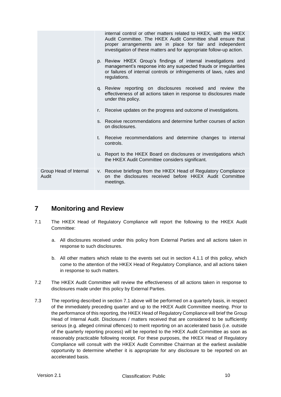|                                 |    | internal control or other matters related to HKEX, with the HKEX<br>Audit Committee. The HKEX Audit Committee shall ensure that<br>proper arrangements are in place for fair and independent<br>investigation of these matters and for appropriate follow-up action. |
|---------------------------------|----|----------------------------------------------------------------------------------------------------------------------------------------------------------------------------------------------------------------------------------------------------------------------|
|                                 |    | p. Review HKEX Group's findings of internal investigations and<br>management's response into any suspected frauds or irregularities<br>or failures of internal controls or infringements of laws, rules and<br>regulations.                                          |
|                                 |    | q. Review reporting on disclosures received and review the<br>effectiveness of all actions taken in response to disclosures made<br>under this policy.                                                                                                               |
|                                 | r. | Receive updates on the progress and outcome of investigations.                                                                                                                                                                                                       |
|                                 |    | s. Receive recommendations and determine further courses of action<br>on disclosures.                                                                                                                                                                                |
|                                 |    | t. Receive recommendations and determine changes to internal<br>controls.                                                                                                                                                                                            |
|                                 |    | u. Report to the HKEX Board on disclosures or investigations which<br>the HKEX Audit Committee considers significant.                                                                                                                                                |
| Group Head of Internal<br>Audit |    | v. Receive briefings from the HKEX Head of Regulatory Compliance<br>on the disclosures received before HKEX Audit Committee<br>meetings.                                                                                                                             |

# <span id="page-9-0"></span>**7 Monitoring and Review**

- 7.1 The HKEX Head of Regulatory Compliance will report the following to the HKEX Audit Committee:
	- a. All disclosures received under this policy from External Parties and all actions taken in response to such disclosures.
	- b. All other matters which relate to the events set out in section 4.1.1 of this policy, which come to the attention of the HKEX Head of Regulatory Compliance, and all actions taken in response to such matters.
- 7.2 The HKEX Audit Committee will review the effectiveness of all actions taken in response to disclosures made under this policy by External Parties.
- 7.3 The reporting described in section 7.1 above will be performed on a quarterly basis, in respect of the immediately preceding quarter and up to the HKEX Audit Committee meeting. Prior to the performance of this reporting, the HKEX Head of Regulatory Compliance will brief the Group Head of Internal Audit. Disclosures / matters received that are considered to be sufficiently serious (e.g. alleged criminal offences) to merit reporting on an accelerated basis (i.e. outside of the quarterly reporting process) will be reported to the HKEX Audit Committee as soon as reasonably practicable following receipt. For these purposes, the HKEX Head of Regulatory Compliance will consult with the HKEX Audit Committee Chairman at the earliest available opportunity to determine whether it is appropriate for any disclosure to be reported on an accelerated basis.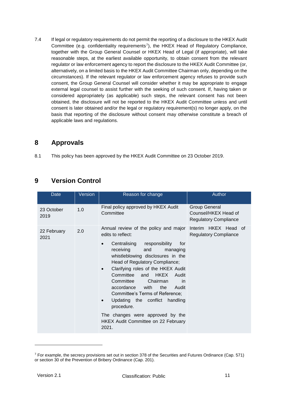7.4 If legal or regulatory requirements do not permit the reporting of a disclosure to the HKEX Audit Committee (e.g. confidentiality requirements<sup>7</sup>), the HKEX Head of Regulatory Compliance, together with the Group General Counsel or HKEX Head of Legal (if appropriate), will take reasonable steps, at the earliest available opportunity, to obtain consent from the relevant regulator or law enforcement agency to report the disclosure to the HKEX Audit Committee (or, alternatively, on a limited basis to the HKEX Audit Committee Chairman only, depending on the circumstances). If the relevant regulator or law enforcement agency refuses to provide such consent, the Group General Counsel will consider whether it may be appropriate to engage external legal counsel to assist further with the seeking of such consent. If, having taken or considered appropriately (as applicable) such steps, the relevant consent has not been obtained, the disclosure will not be reported to the HKEX Audit Committee unless and until consent is later obtained and/or the legal or regulatory requirement(s) no longer apply, on the basis that reporting of the disclosure without consent may otherwise constitute a breach of applicable laws and regulations.

# <span id="page-10-0"></span>**8 Approvals**

8.1 This policy has been approved by the HKEX Audit Committee on 23 October 2019.

# <span id="page-10-1"></span>**9 Version Control**

| Date                | Version | Reason for change                                                                                                                                                                                                                                                                                                                                                                                                                                                                                                                               | Author                                                                |  |  |  |  |
|---------------------|---------|-------------------------------------------------------------------------------------------------------------------------------------------------------------------------------------------------------------------------------------------------------------------------------------------------------------------------------------------------------------------------------------------------------------------------------------------------------------------------------------------------------------------------------------------------|-----------------------------------------------------------------------|--|--|--|--|
| 23 October<br>2019  | 1.0     | Final policy approved by HKEX Audit<br>Committee                                                                                                                                                                                                                                                                                                                                                                                                                                                                                                | Group General<br>Counsel/HKEX Head of<br><b>Regulatory Compliance</b> |  |  |  |  |
| 22 February<br>2021 | 2.0     | Annual review of the policy and major<br>edits to reflect:<br>Centralising responsibility<br>for<br>receiving<br>and<br>managing<br>whistleblowing disclosures in the<br>Head of Regulatory Compliance;<br>Clarifying roles of the HKEX Audit<br>Committee<br><b>HKEX</b><br>and<br>Audit<br>Committee<br>Chairman<br>in<br>with<br>the<br>accordance<br>Audit<br>Committee's Terms of Reference;<br>Updating the conflict<br>handling<br>procedure.<br>The changes were approved by the<br><b>HKEX Audit Committee on 22 February</b><br>2021. | Interim HKEX Head of<br><b>Regulatory Compliance</b>                  |  |  |  |  |

<sup>7</sup> For example, the secrecy provisions set out in section 378 of the Securities and Futures Ordinance (Cap. 571) or section 30 of the Prevention of Bribery Ordinance (Cap. 201).